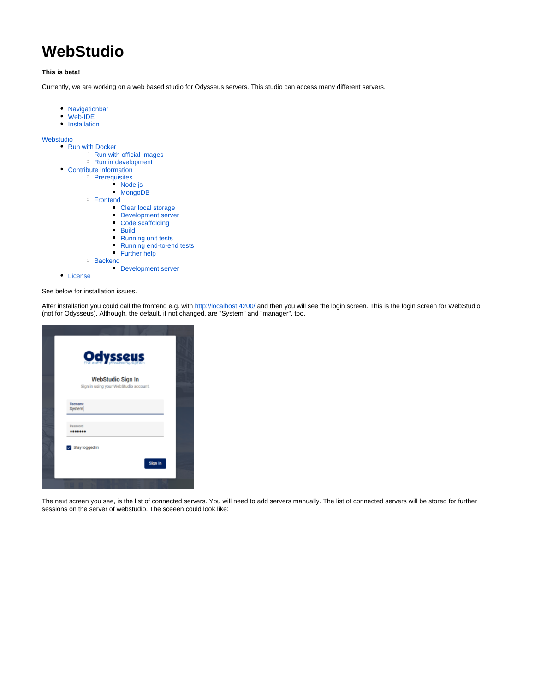# **WebStudio**

#### **This is beta!**

Currently, we are working on a web based studio for Odysseus servers. This studio can access many different servers.

- [Navigationbar](#page-2-0)
- [Web-IDE](#page-3-0)
- [Installation](#page-3-1)

[Webstudio](#page-3-2)

- [Run with Docker](#page-3-3)
	- <sup>o</sup> [Run with official Images](#page-3-4)
	- <sup>o</sup> [Run in development](#page-3-5)
- [Contribute information](#page-4-0)
	- o [Prerequisites](#page-4-1)
		- [Node.js](#page-4-2)
		- [MongoDB](#page-4-3)
		- [Frontend](#page-4-4)
			- [Clear local storage](#page-4-5)
			- [Development server](#page-4-6)
			- $\blacksquare$ [Code scaffolding](#page-4-7)
			- **[Build](#page-4-8)**
			- **[Running unit tests](#page-4-9)**
			- [Running end-to-end tests](#page-4-10)
			- **[Further help](#page-4-11)**
		- <sup>o</sup> [Backend](#page-4-12)
			- [Development server](#page-4-13)
- [License](#page-4-14)

See below for installation issues.

After installation you could call the frontend e.g. with<http://localhost:4200/> and then you will see the login screen. This is the login screen for WebStudio (not for Odysseus). Although, the default, if not changed, are "System" and "manager". too.

| <b>Odysseus</b>                                            |  |
|------------------------------------------------------------|--|
| WebStudio Sign In<br>Sign in using your WebStudio account. |  |
| Usemame<br>System                                          |  |
| Password<br>                                               |  |
| Stay logged in<br>Sign In                                  |  |
|                                                            |  |

The next screen you see, is the list of connected servers. You will need to add servers manually. The list of connected servers will be stored for further sessions on the server of webstudio. The sceeen could look like: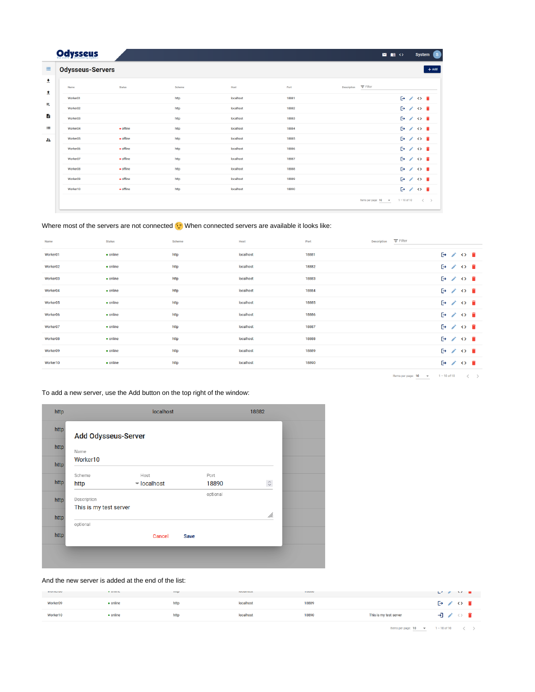# **Odysseus**

**E** Odysseus-Servers

```
\begin{array}{c} \hbox{ \bf 2}\ \hbox{ \bf 1}\ \hbox{ \bf 0}\ \hbox{ \bf 0} \end{array}System
```

| 士<br>奎   | Name                 | <b>Status</b>     | Scheme | Host      | Port  | $\equiv$ Filter<br>Description                                                                                 |
|----------|----------------------|-------------------|--------|-----------|-------|----------------------------------------------------------------------------------------------------------------|
|          | Worker01             |                   | http   | localhost | 18881 | 日ノの言                                                                                                           |
| 具        | Worker02             |                   | http   | localhost | 18882 | $\mathbb{P}$ / $\circ$ $\mathbb{P}$                                                                            |
| B        | Worker03             |                   | http   | localhost | 18883 | $\mathbf{P} \times \mathbf{O}$                                                                                 |
| $\equiv$ | Worker04             | • offline         | http   | localhost | 18884 | 日ノの言                                                                                                           |
| 22       | Worker <sub>05</sub> | • offline         | http   | localhost | 18885 | 日ノの言                                                                                                           |
|          | Worker06             | $\bullet$ offline | http   | localhost | 18886 | 日ノの言                                                                                                           |
|          | Worker07             | $\bullet$ offline | http   | localhost | 18887 | $\mathbb{P}$ / $\circ$ $\mathbb{P}$                                                                            |
|          | Worker08             | $\bullet$ offline | http   | localhost | 18888 | $P \times Q$                                                                                                   |
|          | Worker09             | $\bullet$ offline | http   | localhost | 18889 | 日ノの言                                                                                                           |
|          | Worker10             | $\bullet$ offline | http   | localhost | 18890 | 日ノの言                                                                                                           |
|          |                      |                   |        |           |       | Items per page: $\frac{10}{10}$ $\rightarrow$ $\frac{1}{10}$ $\rightarrow$ 10 of 10 $\leftarrow$ $\rightarrow$ |

### Where most of the servers are not connected  $\odot$  When connected servers are available it looks like:

| Name     | <b>Status</b>    | Scheme | Host      | Port  | $\equiv$ Filter<br><b>Description</b> |                                |
|----------|------------------|--------|-----------|-------|---------------------------------------|--------------------------------|
| Worker01 | • online         | http   | localhost | 18881 |                                       | 日ノの言                           |
| Worker02 | • online         | http   | localhost | 18882 |                                       | 日ノの言                           |
| Worker03 | $\bullet$ online | http   | localhost | 18883 |                                       | 日ノの言                           |
| Worker04 | • online         | http   | localhost | 18884 |                                       | 日ノの言                           |
| Worker05 | • online         | http   | localhost | 18885 |                                       | 日ノの言                           |
| Worker06 | • online         | http   | localhost | 18886 |                                       | 日ノの言                           |
| Worker07 | • online         | http   | localhost | 18887 |                                       | 日ノの言                           |
| Worker08 | • online         | http   | localhost | 18888 |                                       | 日ノの言                           |
| Worker09 | • online         | http   | localhost | 18889 |                                       | $\mathbf{P} \times \mathbf{O}$ |
| Worker10 | $\bullet$ online | http   | localhost | 18890 |                                       | 日ノの言                           |
|          |                  |        |           |       |                                       |                                |

Items per page:  $\frac{10}{10}$   $\rightarrow$  1 - 10 of 10  $\langle$   $\rangle$ 

### To add a new server, use the Add button on the top right of the window:

| http<br><b>Add Odysseus-Server</b> |                                 |             |                    |
|------------------------------------|---------------------------------|-------------|--------------------|
| http<br>Name                       |                                 |             |                    |
| Worker10<br>http                   |                                 |             |                    |
| Scheme                             | Host                            | Port        |                    |
| http<br>http                       | $\blacktriangleright$ localhost | 18890       | $\hat{\mathbb{C}}$ |
| Description<br>http                |                                 | optional    |                    |
| This is my test server             |                                 |             |                    |
| http                               |                                 |             | /h.                |
| optional                           |                                 |             |                    |
| http                               | Cancel                          | <b>Save</b> |                    |

#### And the new server is added at the end of the list:

| <b>TEMINUTURE</b> | - winners | <b>TELES</b> | <b>IMMIRTIME</b> | <b>HOUGH</b> |                        | ビジネー アイ・ロー                  |
|-------------------|-----------|--------------|------------------|--------------|------------------------|-----------------------------|
| Worker09          | • online  | http         | localhost        | 18889        |                        | $\mapsto$ $\leftrightarrow$ |
| Worker10          | • online  | http         | localhost        | 18890        | This is my test server | ヨノッ                         |

Items per page:  $\frac{10}{10}$   $\rightarrow$   $\frac{1}{2}$  - 10 of 10  $\leftarrow$   $\leftarrow$   $>$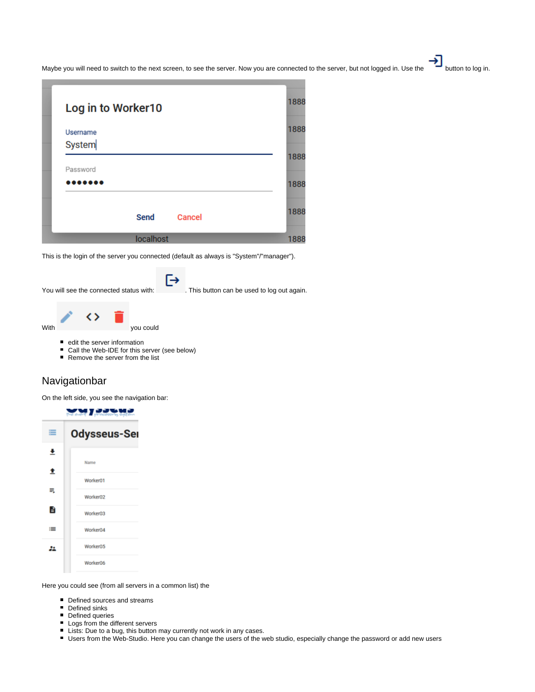Maybe you will need to switch to the next screen, to see the server. Now you are connected to the server, but not logged in. Use the button to log in.

| Log in to Worker10 |        | 1888 |
|--------------------|--------|------|
| Username<br>System |        | 1888 |
| Password           |        | 1888 |
| .                  |        | 1888 |
| Send               | Cancel | 1888 |
| localhost          |        | 1888 |

This is the login of the server you connected (default as always is "System"/"manager").

You will see the connected status with: . This button can be used to log out again.



- edit the server information
- Call the Web-IDE for this server (see below)
- Remove the server from the list

# <span id="page-2-0"></span>Navigationbar

On the left side, you see the navigation bar:



Here you could see (from all servers in a common list) the

- Defined sources and streams
- Defined sinks
- Defined queries
- **Logs from the different servers**
- Lists: Due to a bug, this button may currently not work in any cases.
- Users from the Web-Studio. Here you can change the users of the web studio, especially change the password or add new users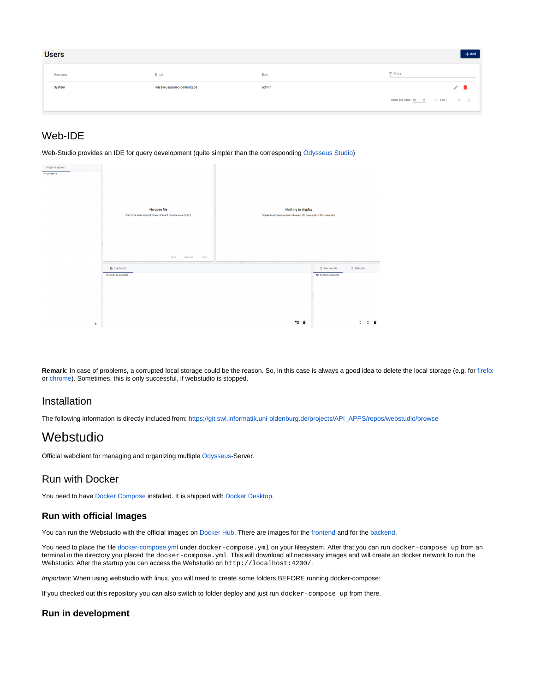| <b>Users</b>    |                           |       | $+$ Add                                                                    |
|-----------------|---------------------------|-------|----------------------------------------------------------------------------|
| <b>Username</b> | E-mail                    | Role  | $\equiv$ Filter                                                            |
| System          | odysseus@uni-oldenburg.de | admin |                                                                            |
|                 |                           |       | Hems per page: $\frac{10}{1}$ $\rightarrow$ $1-1$ of 1 $\langle$ $\rangle$ |

# <span id="page-3-0"></span>Web-IDE

Web-Studio provides an IDE for query development (quite simpler than the corresponding [Odysseus Studio](https://wiki.odysseus.informatik.uni-oldenburg.de/display/ODYSSEUS/Odysseus+Studio))



Remark: In case of problems, a corrupted local storage could be the reason. So, in this case is always a good idea to delete the local storage (e.g. for [firefox](https://support.mozilla.org/en-US/kb/storage) or [chrome\)](https://www.leadshook.com/help/how-to-clear-local-storage-in-google-chrome-browser/). Sometimes, this is only successful, if webstudio is stopped.

# <span id="page-3-1"></span>Installation

The following information is directly included from: [https://git.swl.informatik.uni-oldenburg.de/projects/API\\_APPS/repos/webstudio/browse](https://git.swl.informatik.uni-oldenburg.de/projects/API_APPS/repos/webstudio/browse/README.md)

# <span id="page-3-2"></span>Webstudio

Official webclient for managing and organizing multiple [Odysseus-](https://odysseus.informatik.uni-oldenburg.de/)Server.

# <span id="page-3-3"></span>Run with Docker

You need to have [Docker Compose](https://docs.docker.com/compose/install/) installed. It is shipped with [Docker Desktop.](https://www.docker.com/products/docker-desktop)

## <span id="page-3-4"></span>**Run with official Images**

You can run the Webstudio with the official images on [Docker Hub](https://hub.docker.com/). There are images for the [frontend](https://hub.docker.com/repository/docker/mikezei/webstudio-frontend) and for the [backend](https://hub.docker.com/repository/docker/mikezei/webstudio-backend).

You need to place the file [docker-compose.yml](https://git.swl.informatik.uni-oldenburg.de/projects/API_APPS/repos/webstudio/browse/deploy/docker-compose.yml) under docker-compose.yml on your filesystem. After that you can run docker-compose up from an terminal in the directory you placed the docker-compose. yml. This will download all necessary images and will create an docker network to run the Webstudio. After the startup you can access the Webstudio on http://localhost:4200/.

Important: When using webstudio with linux, you will need to create some folders BEFORE running docker-compose:

If you checked out this repository you can also switch to folder deploy and just run docker-compose up from there.

## <span id="page-3-5"></span>**Run in development**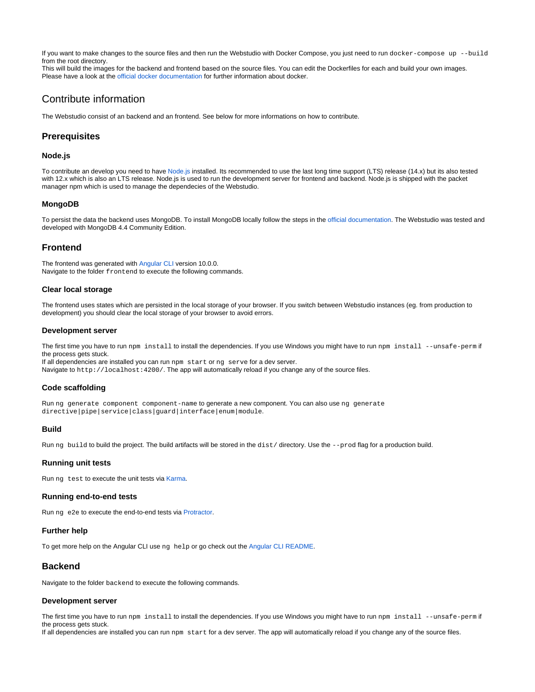If you want to make changes to the source files and then run the Webstudio with Docker Compose, you just need to run docker-compose up --build from the root directory.

This will build the images for the backend and frontend based on the source files. You can edit the Dockerfiles for each and build your own images. Please have a look at the [official docker documentation](https://docs.docker.com/) for further information about docker.

# <span id="page-4-0"></span>Contribute information

The Webstudio consist of an backend and an frontend. See below for more informations on how to contribute.

# <span id="page-4-1"></span>**Prerequisites**

#### <span id="page-4-2"></span>**Node.js**

To contribute an develop you need to have [Node.js](https://nodejs.dev) installed. Its recommended to use the last long time support (LTS) release (14.x) but its also tested with 12.x which is also an LTS release. Node.js is used to run the development server for frontend and backend. Node.js is shipped with the packet manager npm which is used to manage the dependecies of the Webstudio.

#### <span id="page-4-3"></span>**MongoDB**

To persist the data the backend uses MongoDB. To install MongoDB locally follow the steps in the [official documentation.](https://docs.mongodb.com/manual/administration/install-community/) The Webstudio was tested and developed with MongoDB 4.4 Community Edition.

## <span id="page-4-4"></span>**Frontend**

The frontend was generated with [Angular CLI](https://github.com/angular/angular-cli) version 10.0.0. Navigate to the folder frontend to execute the following commands.

#### <span id="page-4-5"></span>**Clear local storage**

The frontend uses states which are persisted in the local storage of your browser. If you switch between Webstudio instances (eg. from production to development) you should clear the local storage of your browser to avoid errors.

#### <span id="page-4-6"></span>**Development server**

The first time you have to run npm install to install the dependencies. If you use Windows you might have to run npm install --unsafe-perm if the process gets stuck.

If all dependencies are installed you can run npm start or ng serve for a dev server. Navigate to http://localhost:4200/. The app will automatically reload if you change any of the source files.

#### <span id="page-4-7"></span>**Code scaffolding**

Run ng generate component component-name to generate a new component. You can also use ng generate directive|pipe|service|class|guard|interface|enum|module.

#### <span id="page-4-8"></span>**Build**

Run ng build to build the project. The build artifacts will be stored in the dist/directory. Use the --prod flag for a production build.

#### <span id="page-4-9"></span>**Running unit tests**

Run ng test to execute the unit tests via [Karma.](https://karma-runner.github.io)

#### <span id="page-4-10"></span>**Running end-to-end tests**

Run ng e2e to execute the end-to-end tests via [Protractor](http://www.protractortest.org/).

#### <span id="page-4-11"></span>**Further help**

To get more help on the Angular CLI use ng help or go check out the [Angular CLI README.](https://github.com/angular/angular-cli/blob/master/README.md)

#### <span id="page-4-12"></span>**Backend**

Navigate to the folder backend to execute the following commands.

#### <span id="page-4-13"></span>**Development server**

The first time you have to run npm install to install the dependencies. If you use Windows you might have to run npm install --unsafe-perm if the process gets stuck.

<span id="page-4-14"></span>If all dependencies are installed you can run npm start for a dev server. The app will automatically reload if you change any of the source files.